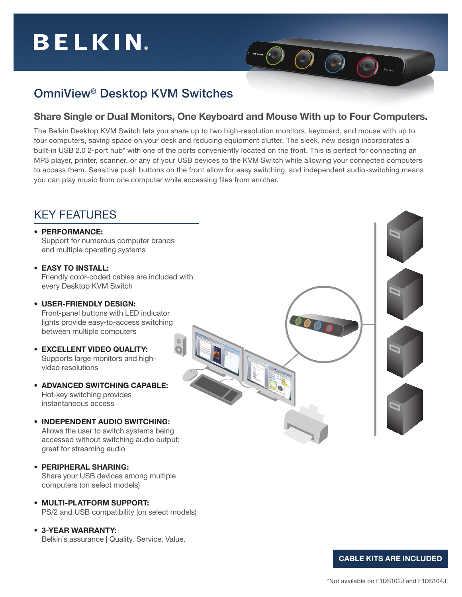# **BELKIN**

## OmniView® Desktop KVM Switches

### Share Single or Dual Monitors, One Keyboard and Mouse With up to Four Computers.

 $O$   $\odot$ 

The Belkin Desktop KVM Switch lets you share up to two high-resolution monitors, keyboard, and mouse with up to four computers, saving space on your desk and reducing equipment clutter. The sleek, new design incorporates a built-in USB 2.0 2-port hub\* with one of the ports conveniently located on the front. This is perfect for connecting an MP3 player, printer, scanner, or any of your USB devices to the KVM Switch while allowing your connected computers to access them. Sensitive push buttons on the front allow for easy switching, and independent audio-switching means you can play music from one computer while accessing files from another.

### KEY FEATURES • PERFORMANCE: Support for numerous computer brands and multiple operating systems • EASY TO INSTALL: Friendly color-coded cables are included with every Desktop KVM Switch • USER-FRIENDLY DESIGN: Front-panel buttons with LED indicator lights provide easy-to-access switching between multiple computers • EXCELLENT VIDEO QUALITY: Supports large monitors and highvideo resolutions • ADVANCED SWITCHING CAPABLE: Hot-key switching provides instantaneous access • INDEPENDENT AUDIO SWITCHING: Allows the user to switch systems being accessed without switching audio output; great for streaming audio • PERIPHERAL SHARING: Share your USB devices among multiple

• MULTI-PLATFORM SUPPORT: PS/2 and USB compatibility (on select models)

• 3-YEAR WARRANTY: Belkin's assurance | Quality. Service. Value.

computers (on select models)

CABLE KITS ARE INCLUDED